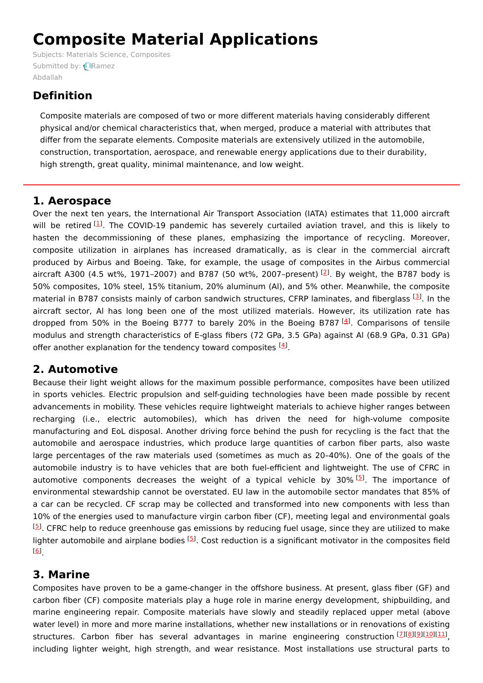# **Composite Material Applications**

Subjects: Materials Science, [Composites](https://encyclopedia.pub/item/subject/209) [Submitted](https://sciprofiles.com/profile/867943) by: **Ramez** Abdallah

# **Definition**

Composite materials are composed of two or more different materials having considerably different physical and/or chemical characteristics that, when merged, produce a material with attributes that differ from the separate elements. Composite materials are extensively utilized in the automobile, construction, transportation, aerospace, and renewable energy applications due to their durability, high strength, great quality, minimal maintenance, and low weight.

#### **1. Aerospace**

Over the next ten years, the International Air Transport Association (IATA) estimates that 11,000 aircraft will be retired <sup>[\[1](#page-3-0)]</sup>. The COVID-19 pandemic has severely curtailed aviation travel, and this is likely to hasten the decommissioning of these planes, emphasizing the importance of recycling. Moreover, composite utilization in airplanes has increased dramatically, as is clear in the commercial aircraft produced by Airbus and Boeing. Take, for example, the usage of composites in the Airbus commercial aircraft A300 (4.5 wt%, 1971-[2](#page-3-1)007) and B787 (50 wt%, 2007-present) <sup>[2]</sup>. By weight, the B787 body is 50% composites, 10% steel, 15% titanium, 20% aluminum (Al), and 5% other. Meanwhile, the composite material in B787 consists mainly of carbon sandwich structures, CFRP laminates, and fiberglass <sup>[[3](#page-3-2)]</sup>. In the aircraft sector, Al has long been one of the most utilized materials. However, its utilization rate has dropped from 50% in the Boeing B777 to barely 20% in the Boeing B787  $[4]$  $[4]$  $[4]$ . Comparisons of tensile modulus and strength characteristics of E-glass fibers (72 GPa, 3.5 GPa) against Al (68.9 GPa, 0.31 GPa) offer another explanation for the tendency toward composites <sup>[\[4](#page-3-3)]</sup>.

## **2. Automotive**

Because their light weight allows for the maximum possible performance, composites have been utilized in sports vehicles. Electric propulsion and self-guiding technologies have been made possible by recent advancements in mobility. These vehicles require lightweight materials to achieve higher ranges between recharging (i.e., electric automobiles), which has driven the need for high-volume composite manufacturing and EoL disposal. Another driving force behind the push for recycling is the fact that the automobile and aerospace industries, which produce large quantities of carbon fiber parts, also waste large percentages of the raw materials used (sometimes as much as 20–40%). One of the goals of the automobile industry is to have vehicles that are both fuel-efficient and lightweight. The use of CFRC in automotive components decreases the weight of a typical vehicle by 30% [\[5](#page-3-4)]. The importance of environmental stewardship cannot be overstated. EU law in the automobile sector mandates that 85% of a car can be recycled. CF scrap may be collected and transformed into new components with less than 10% of the energies used to manufacture virgin carbon fiber (CF), meeting legal and environmental goals . CFRC help to reduce greenhouse gas emissions by reducing fuel usage, since they are utilized to make [[5](#page-3-4)] lighter automobile and airplane bodies [\[5](#page-3-4)]. Cost reduction is a significant motivator in the composites field . [[6](#page-3-5)]

## **3. Marine**

Composites have proven to be a game-changer in the offshore business. At present, glass fiber (GF) and carbon fiber (CF) composite materials play a huge role in marine energy development, shipbuilding, and marine engineering repair. Composite materials have slowly and steadily replaced upper metal (above water level) in more and more marine installations, whether new installations or in renovations of existing structures. Carbon fiber has several advantages in marine engineering construction [\[7](#page-3-6)][\[8](#page-3-7)][\[9](#page-3-8)][\[10](#page-3-9)][\[11](#page-3-10)] including lighter weight, high strength, and wear resistance. Most installations use structural parts to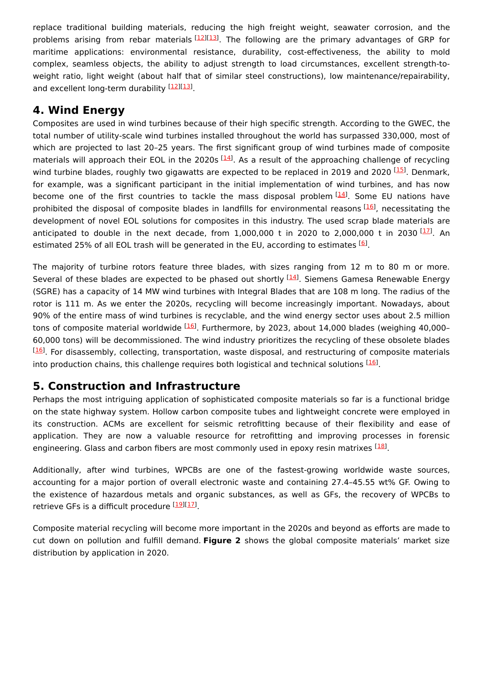replace traditional building materials, reducing the high freight weight, seawater corrosion, and the problems arising from rebar materials [\[12](#page-3-11)][\[13](#page-3-12)]. The following are the primary advantages of GRP for maritime applications: environmental resistance, durability, cost-effectiveness, the ability to mold complex, seamless objects, the ability to adjust strength to load circumstances, excellent strength-toweight ratio, light weight (about half that of similar steel constructions), low maintenance/repairability, and excellent long-term durability [\[12](#page-3-11)][\[13](#page-3-12)].

## **4. Wind Energy**

Composites are used in wind turbines because of their high specific strength. According to the GWEC, the total number of utility-scale wind turbines installed throughout the world has surpassed 330,000, most of which are projected to last 20–25 years. The first significant group of wind turbines made of composite materials will approach their EOL in the 2020s [\[14](#page-3-13)]. As a result of the approaching challenge of recycling wind turbine blades, roughly two gigawatts are expected to be replaced in 2019 and 2020 [\[15](#page-3-14)]. Denmark, for example, was a significant participant in the initial implementation of wind turbines, and has now become one of the first countries to tackle the mass disposal problem [[14](#page-3-13)]. Some EU nations have prohibited the disposal of composite blades in landfills for environmental reasons [[16](#page-3-15)], necessitating the development of novel EOL solutions for composites in this industry. The used scrap blade materials are anticipated to double in the next decade, from 1,000,000 t in 2020 to 2,000,000 t in 2030  $[17]$ . An estimated 25% of all EOL trash will be generated in the EU, according to estimates <sup>[[6](#page-3-5)]</sup>.

The majority of turbine rotors feature three blades, with sizes ranging from 12 m to 80 m or more. Several of these blades are expected to be phased out shortly <sup>[[14](#page-3-13)]</sup>. Siemens Gamesa Renewable Energy (SGRE) has a capacity of 14 MW wind turbines with Integral Blades that are 108 m long. The radius of the rotor is 111 m. As we enter the 2020s, recycling will become increasingly important. Nowadays, about 90% of the entire mass of wind turbines is recyclable, and the wind energy sector uses about 2.5 million tons of composite material worldwide <sup>[[16](#page-3-15)]</sup>. Furthermore, by 2023, about 14,000 blades (weighing 40,000-60,000 tons) will be decommissioned. The wind industry prioritizes the recycling of these obsolete blades <sup>[[16](#page-3-15)]</sup>. For disassembly, collecting, transportation, waste disposal, and restructuring of composite materials into production chains, this challenge requires both logistical and technical solutions [[16](#page-3-15)].

#### **5. Construction and Infrastructure**

Perhaps the most intriguing application of sophisticated composite materials so far is a functional bridge on the state highway system. Hollow carbon composite tubes and lightweight concrete were employed in its construction. ACMs are excellent for seismic retrofitting because of their flexibility and ease of application. They are now a valuable resource for retrofitting and improving processes in forensic engineering. Glass and carbon fibers are most commonly used in epoxy resin matrixes <sup>[\[18](#page-3-17)]</sup>.

Additionally, after wind turbines, WPCBs are one of the fastest-growing worldwide waste sources, accounting for a major portion of overall electronic waste and containing 27.4–45.55 wt% GF. Owing to the existence of hazardous metals and organic substances, as well as GFs, the recovery of WPCBs to retrieve GFs is a difficult procedure [\[19](#page-3-18)117].

Composite material recycling will become more important in the 2020s and beyond as efforts are made to cut down on pollution and fulfill demand. **Figure 2** shows the global composite materials' market size distribution by application in 2020.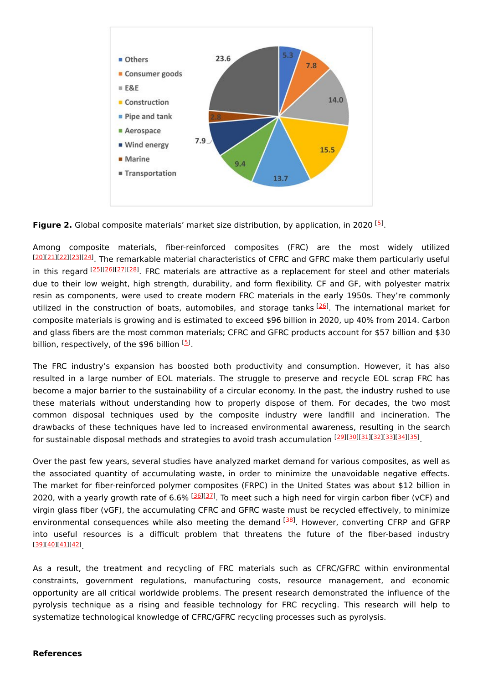

**Figure 2.** Global composite materials' market size distribution, by application, in 2020 <sup>[\[5](#page-3-4)]</sup>.

Among composite materials, fiber-reinforced composites (FRC) are the most widely utilized [[20](#page-3-19)][\[21\]](#page-3-20)[[22](#page-3-21)][\[23\]](#page-3-22)[[24](#page-3-23)]. The remarkable material characteristics of CFRC and GFRC make them particularly useful in this regard [\[25](#page-3-24)][\[26](#page-3-25)][\[27](#page-3-26)][\[28](#page-3-27)]. FRC materials are attractive as a replacement for steel and other materials due to their low weight, high strength, durability, and form flexibility. CF and GF, with polyester matrix resin as components, were used to create modern FRC materials in the early 1950s. They're commonly utilized in the construction of boats, automobiles, and storage tanks [\[26](#page-3-25)]. The international market for composite materials is growing and is estimated to exceed \$96 billion in 2020, up 40% from 2014. Carbon and glass fibers are the most common materials; CFRC and GFRC products account for \$57 billion and \$30 billion, respectively, of the \$96 billion <sup>[\[5](#page-3-4)]</sup>.

The FRC industry's expansion has boosted both productivity and consumption. However, it has also resulted in a large number of EOL materials. The struggle to preserve and recycle EOL scrap FRC has become a major barrier to the sustainability of a circular economy. In the past, the industry rushed to use these materials without understanding how to properly dispose of them. For decades, the two most common disposal techniques used by the composite industry were landfill and incineration. The drawbacks of these techniques have led to increased environmental awareness, resulting in the search for sustainable disposal methods and strategies to avoid trash accumulation [[29](#page-4-0)][[30](#page-4-1)][[31](#page-4-2)][[32](#page-4-3)][[33](#page-4-4)][[34](#page-4-5)][[35](#page-4-6)].

Over the past few years, several studies have analyzed market demand for various composites, as well as the associated quantity of accumulating waste, in order to minimize the unavoidable negative effects. The market for fiber-reinforced polymer composites (FRPC) in the United States was about \$12 billion in 2020, with a yearly growth rate of 6.6% <sup>[\[36\]](#page-4-7)[[37](#page-4-8)]</sup>. To meet such a high need for virgin carbon fiber (vCF) and virgin glass fiber (vGF), the accumulating CFRC and GFRC waste must be recycled effectively, to minimize environmental consequences while also meeting the demand <sup>[[38\]](#page-4-9)</sup>. However, converting CFRP and GFRP into useful resources is a difficult problem that threatens the future of the fiber-based industry . [[39](#page-4-10)][\[40\]](#page-4-11)[[41](#page-4-12)][\[42\]](#page-4-13)

As a result, the treatment and recycling of FRC materials such as CFRC/GFRC within environmental constraints, government regulations, manufacturing costs, resource management, and economic opportunity are all critical worldwide problems. The present research demonstrated the influence of the pyrolysis technique as a rising and feasible technology for FRC recycling. This research will help to systematize technological knowledge of CFRC/GFRC recycling processes such as pyrolysis.

#### **References**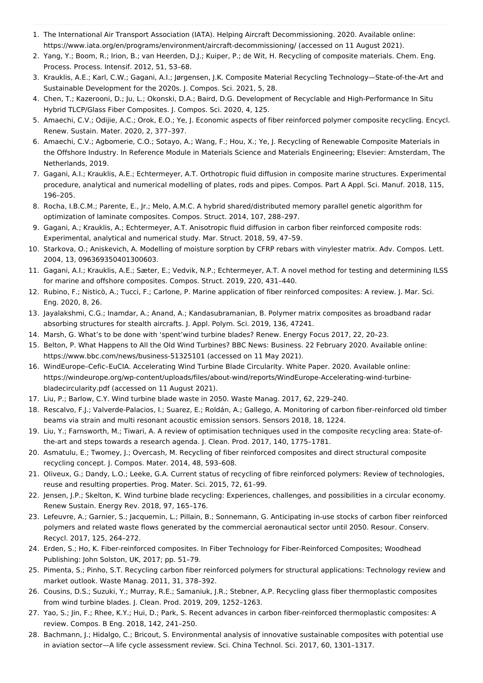- <span id="page-3-0"></span>1. The International Air Transport Association (IATA). Helping Aircraft Decommissioning. 2020. Available online: https://www.iata.org/en/programs/environment/aircraft-decommissioning/ (accessed on 11 August 2021).
- <span id="page-3-1"></span>2. Yang, Y.; Boom, R.; Irion, B.; van Heerden, D.J.; Kuiper, P.; de Wit, H. Recycling of composite materials. Chem. Eng. Process. Process. Intensif. 2012, 51, 53–68.
- <span id="page-3-2"></span>3. Krauklis, A.E.; Karl, C.W.; Gagani, A.I.; Jørgensen, J.K. Composite Material Recycling Technology—State-of-the-Art and Sustainable Development for the 2020s. J. Compos. Sci. 2021, 5, 28.
- <span id="page-3-3"></span>4. Chen, T.; Kazerooni, D.; Ju, L.; Okonski, D.A.; Baird, D.G. Development of Recyclable and High-Performance In Situ Hybrid TLCP/Glass Fiber Composites. J. Compos. Sci. 2020, 4, 125.
- <span id="page-3-4"></span>5. Amaechi, C.V.; Odijie, A.C.; Orok, E.O.; Ye, J. Economic aspects of fiber reinforced polymer composite recycling. Encycl. Renew. Sustain. Mater. 2020, 2, 377–397.
- <span id="page-3-5"></span>6. Amaechi, C.V.; Agbomerie, C.O.; Sotayo, A.; Wang, F.; Hou, X.; Ye, J. Recycling of Renewable Composite Materials in the Offshore Industry. In Reference Module in Materials Science and Materials Engineering; Elsevier: Amsterdam, The Netherlands, 2019.
- <span id="page-3-6"></span>7. Gagani, A.I.; Krauklis, A.E.; Echtermeyer, A.T. Orthotropic fluid diffusion in composite marine structures. Experimental procedure, analytical and numerical modelling of plates, rods and pipes. Compos. Part A Appl. Sci. Manuf. 2018, 115, 196–205.
- <span id="page-3-7"></span>8. Rocha, I.B.C.M.; Parente, E., Jr.; Melo, A.M.C. A hybrid shared/distributed memory parallel genetic algorithm for optimization of laminate composites. Compos. Struct. 2014, 107, 288–297.
- <span id="page-3-8"></span>9. Gagani, A.; Krauklis, A.; Echtermeyer, A.T. Anisotropic fluid diffusion in carbon fiber reinforced composite rods: Experimental, analytical and numerical study. Mar. Struct. 2018, 59, 47–59.
- <span id="page-3-9"></span>10. Starkova, O.; Aniskevich, A. Modelling of moisture sorption by CFRP rebars with vinylester matrix. Adv. Compos. Lett. 2004, 13, 096369350401300603.
- <span id="page-3-10"></span>11. Gagani, A.I.; Krauklis, A.E.; Sæter, E.; Vedvik, N.P.; Echtermeyer, A.T. A novel method for testing and determining ILSS for marine and offshore composites. Compos. Struct. 2019, 220, 431–440.
- <span id="page-3-11"></span>12. Rubino, F.; Nisticò, A.; Tucci, F.; Carlone, P. Marine application of fiber reinforced composites: A review. J. Mar. Sci. Eng. 2020, 8, 26.
- <span id="page-3-12"></span>13. Jayalakshmi, C.G.; Inamdar, A.; Anand, A.; Kandasubramanian, B. Polymer matrix composites as broadband radar absorbing structures for stealth aircrafts. J. Appl. Polym. Sci. 2019, 136, 47241.
- <span id="page-3-13"></span>14. Marsh, G. What's to be done with 'spent'wind turbine blades? Renew. Energy Focus 2017, 22, 20–23.
- <span id="page-3-14"></span>15. Belton, P. What Happens to All the Old Wind Turbines? BBC News: Business. 22 February 2020. Available online: https://www.bbc.com/news/business-51325101 (accessed on 11 May 2021).
- <span id="page-3-15"></span>16. WindEurope–Cefic–EuCIA. Accelerating Wind Turbine Blade Circularity. White Paper. 2020. Available online: https://windeurope.org/wp-content/uploads/files/about-wind/reports/WindEurope-Accelerating-wind-turbinebladecircularity.pdf (accessed on 11 August 2021).
- <span id="page-3-16"></span>17. Liu, P.; Barlow, C.Y. Wind turbine blade waste in 2050. Waste Manag. 2017, 62, 229–240.
- <span id="page-3-17"></span>18. Rescalvo, F.J.; Valverde-Palacios, I.; Suarez, E.; Roldán, A.; Gallego, A. Monitoring of carbon fiber-reinforced old timber beams via strain and multi resonant acoustic emission sensors. Sensors 2018, 18, 1224.
- <span id="page-3-18"></span>19. Liu, Y.; Farnsworth, M.; Tiwari, A. A review of optimisation techniques used in the composite recycling area: State-ofthe-art and steps towards a research agenda. J. Clean. Prod. 2017, 140, 1775–1781.
- <span id="page-3-19"></span>20. Asmatulu, E.; Twomey, J.; Overcash, M. Recycling of fiber reinforced composites and direct structural composite recycling concept. J. Compos. Mater. 2014, 48, 593–608.
- <span id="page-3-20"></span>21. Oliveux, G.; Dandy, L.O.; Leeke, G.A. Current status of recycling of fibre reinforced polymers: Review of technologies, reuse and resulting properties. Prog. Mater. Sci. 2015, 72, 61–99.
- <span id="page-3-21"></span>22. Jensen, J.P.; Skelton, K. Wind turbine blade recycling: Experiences, challenges, and possibilities in a circular economy. Renew Sustain. Energy Rev. 2018, 97, 165–176.
- <span id="page-3-22"></span>23. Lefeuvre, A.; Garnier, S.; Jacquemin, L.; Pillain, B.; Sonnemann, G. Anticipating in-use stocks of carbon fiber reinforced polymers and related waste flows generated by the commercial aeronautical sector until 2050. Resour. Conserv. Recycl. 2017, 125, 264–272.
- <span id="page-3-23"></span>24. Erden, S.; Ho, K. Fiber-reinforced composites. In Fiber Technology for Fiber-Reinforced Composites; Woodhead Publishing: John Solston, UK, 2017; pp. 51–79.
- <span id="page-3-24"></span>25. Pimenta, S.; Pinho, S.T. Recycling carbon fiber reinforced polymers for structural applications: Technology review and market outlook. Waste Manag. 2011, 31, 378–392.
- <span id="page-3-25"></span>26. Cousins, D.S.; Suzuki, Y.; Murray, R.E.; Samaniuk, J.R.; Stebner, A.P. Recycling glass fiber thermoplastic composites from wind turbine blades. J. Clean. Prod. 2019, 209, 1252–1263.
- <span id="page-3-26"></span>27. Yao, S.; Jin, F.; Rhee, K.Y.; Hui, D.; Park, S. Recent advances in carbon fiber-reinforced thermoplastic composites: A review. Compos. B Eng. 2018, 142, 241–250.
- <span id="page-3-27"></span>28. Bachmann, J.; Hidalgo, C.; Bricout, S. Environmental analysis of innovative sustainable composites with potential use in aviation sector—A life cycle assessment review. Sci. China Technol. Sci. 2017, 60, 1301–1317.